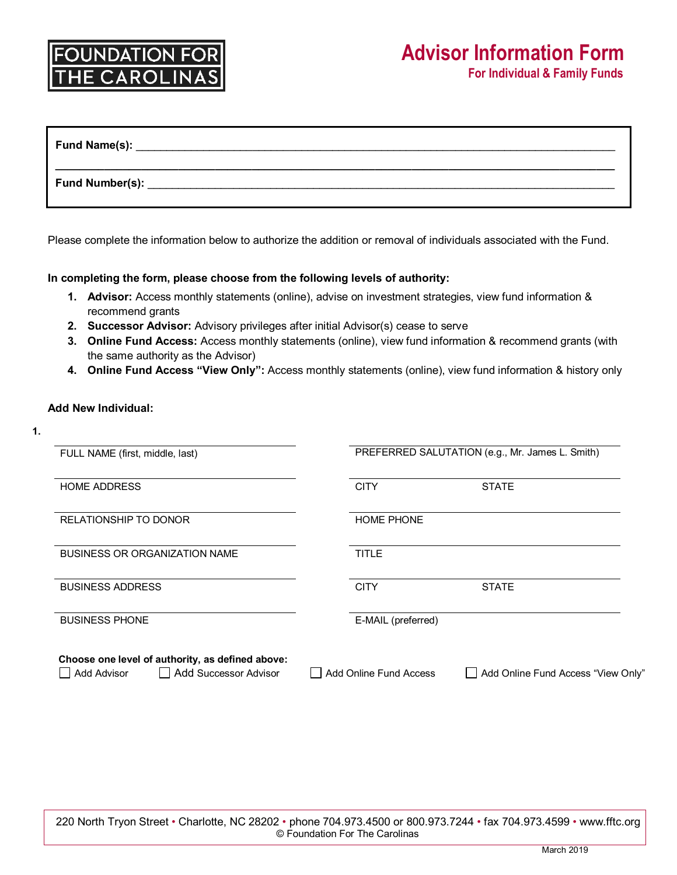| <b>Fund Name(s):</b> |  |  |
|----------------------|--|--|
| Fund Number(s):      |  |  |

Please complete the information below to authorize the addition or removal of individuals associated with the Fund.

## **In completing the form, please choose from the following levels of authority:**

- **1. Advisor:** Access monthly statements (online), advise on investment strategies, view fund information & recommend grants
- **2. Successor Advisor:** Advisory privileges after initial Advisor(s) cease to serve
- **3. Online Fund Access:** Access monthly statements (online), view fund information & recommend grants (with the same authority as the Advisor)
- **4. Online Fund Access "View Only":** Access monthly statements (online), view fund information & history only

## **Add New Individual:**

| I<br>۰. |  |
|---------|--|
|         |  |

| FULL NAME (first, middle, last)                                                            | PREFERRED SALUTATION (e.g., Mr. James L. Smith) |                                    |  |
|--------------------------------------------------------------------------------------------|-------------------------------------------------|------------------------------------|--|
| <b>HOME ADDRESS</b>                                                                        | <b>CITY</b>                                     | <b>STATE</b>                       |  |
| <b>RELATIONSHIP TO DONOR</b>                                                               | <b>HOME PHONE</b>                               |                                    |  |
| <b>BUSINESS OR ORGANIZATION NAME</b>                                                       | <b>TITLE</b>                                    |                                    |  |
| <b>BUSINESS ADDRESS</b>                                                                    | <b>CITY</b>                                     | <b>STATE</b>                       |  |
| <b>BUSINESS PHONE</b>                                                                      | E-MAIL (preferred)                              |                                    |  |
| Choose one level of authority, as defined above:<br>  Add Successor Advisor<br>Add Advisor | Add Online Fund Access                          | Add Online Fund Access "View Only" |  |

220 North Tryon Street • Charlotte, NC 28202 • phone 704.973.4500 or 800.973.7244 • fax 704.973.4599 • www.fftc.org © Foundation For The Carolinas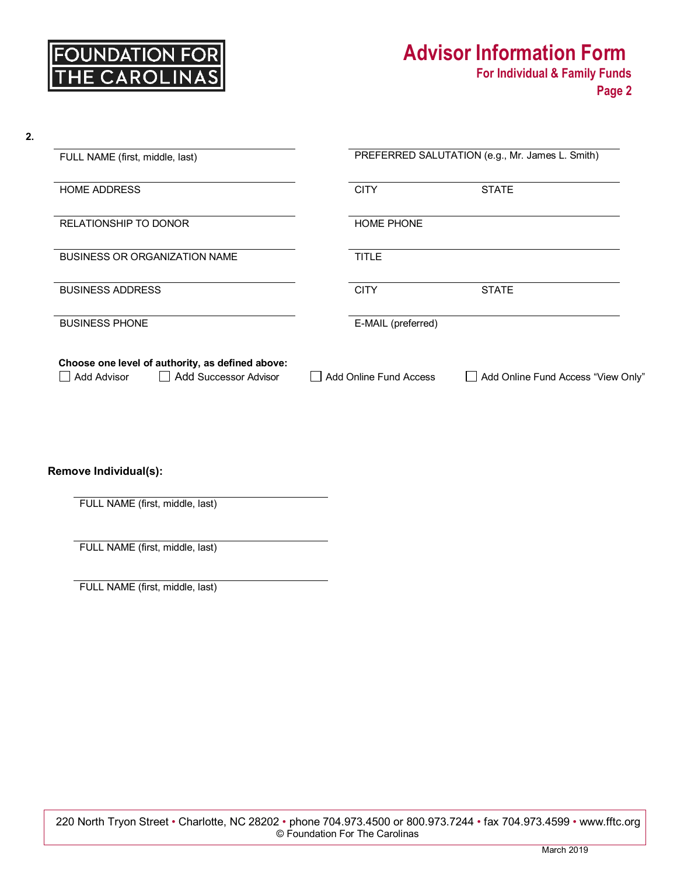# **Advisor Information Form**<br>For Individual & Family Funds

| 2. |                                                                                                        |  |                                                 |                                    |  |  |
|----|--------------------------------------------------------------------------------------------------------|--|-------------------------------------------------|------------------------------------|--|--|
|    | FULL NAME (first, middle, last)                                                                        |  | PREFERRED SALUTATION (e.g., Mr. James L. Smith) |                                    |  |  |
|    | <b>HOME ADDRESS</b>                                                                                    |  | <b>CITY</b>                                     | <b>STATE</b>                       |  |  |
|    | <b>RELATIONSHIP TO DONOR</b>                                                                           |  | <b>HOME PHONE</b>                               |                                    |  |  |
|    | <b>BUSINESS OR ORGANIZATION NAME</b>                                                                   |  | <b>TITLE</b>                                    |                                    |  |  |
|    | <b>BUSINESS ADDRESS</b>                                                                                |  | <b>CITY</b>                                     | <b>STATE</b>                       |  |  |
|    | <b>BUSINESS PHONE</b>                                                                                  |  | E-MAIL (preferred)                              |                                    |  |  |
|    | Choose one level of authority, as defined above:<br><b>Add Successor Advisor</b><br><b>Add Advisor</b> |  | <b>Add Online Fund Access</b>                   | Add Online Fund Access "View Only" |  |  |

**Remove Individual(s):**

FULL NAME (first, middle, last)

FULL NAME (first, middle, last)

FULL NAME (first, middle, last)